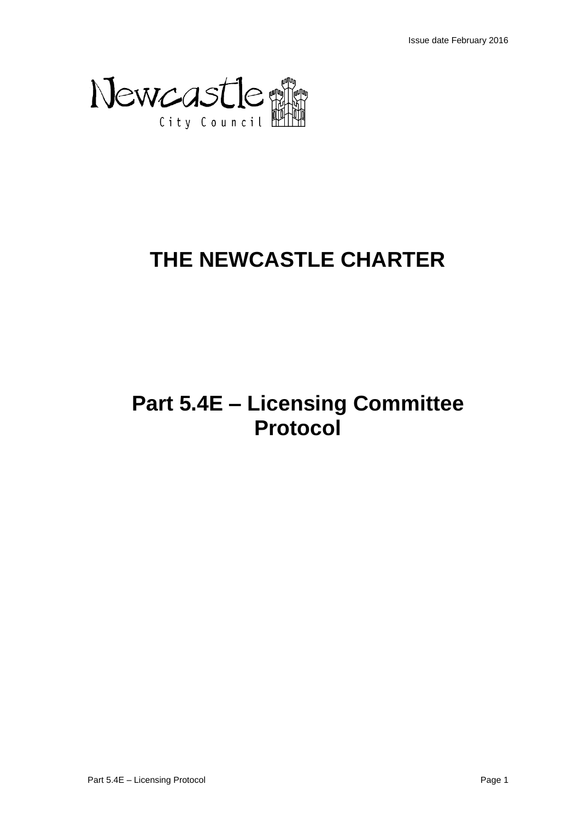

# **THE NEWCASTLE CHARTER**

# **Part 5.4E – Licensing Committee Protocol**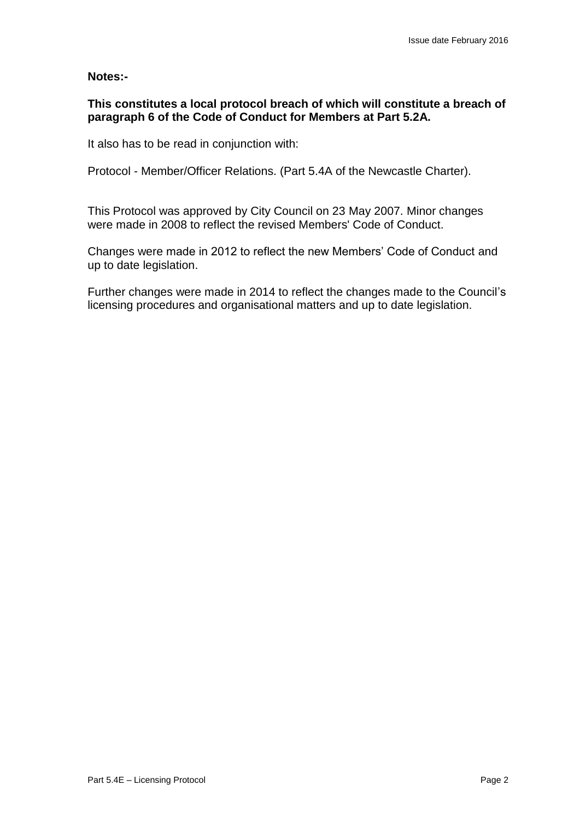#### **Notes:-**

#### **This constitutes a local protocol breach of which will constitute a breach of paragraph 6 of the Code of Conduct for Members at Part 5.2A.**

It also has to be read in conjunction with:

Protocol - Member/Officer Relations. (Part 5.4A of the Newcastle Charter).

This Protocol was approved by City Council on 23 May 2007. Minor changes were made in 2008 to reflect the revised Members' Code of Conduct.

Changes were made in 2012 to reflect the new Members' Code of Conduct and up to date legislation.

Further changes were made in 2014 to reflect the changes made to the Council's licensing procedures and organisational matters and up to date legislation.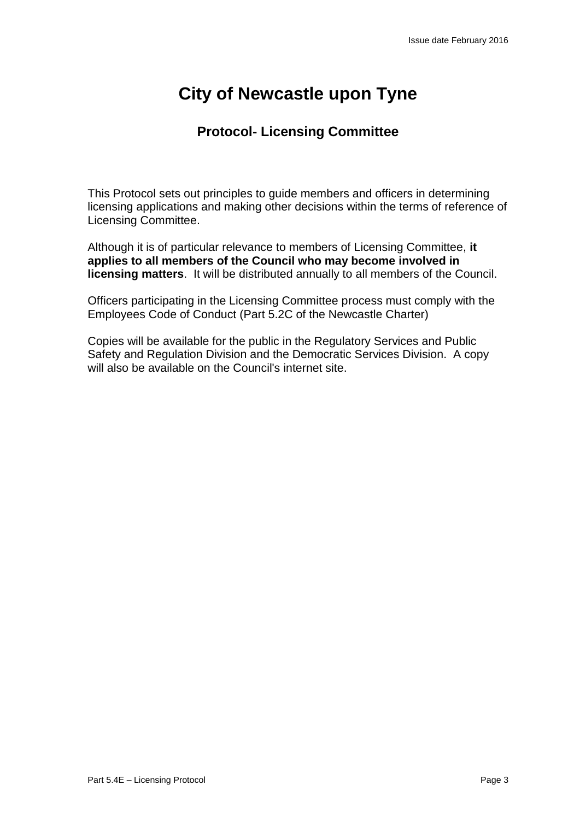# **City of Newcastle upon Tyne**

# **Protocol- Licensing Committee**

This Protocol sets out principles to guide members and officers in determining licensing applications and making other decisions within the terms of reference of Licensing Committee.

Although it is of particular relevance to members of Licensing Committee, **it applies to all members of the Council who may become involved in licensing matters**. It will be distributed annually to all members of the Council.

Officers participating in the Licensing Committee process must comply with the Employees Code of Conduct (Part 5.2C of the Newcastle Charter)

Copies will be available for the public in the Regulatory Services and Public Safety and Regulation Division and the Democratic Services Division. A copy will also be available on the Council's internet site.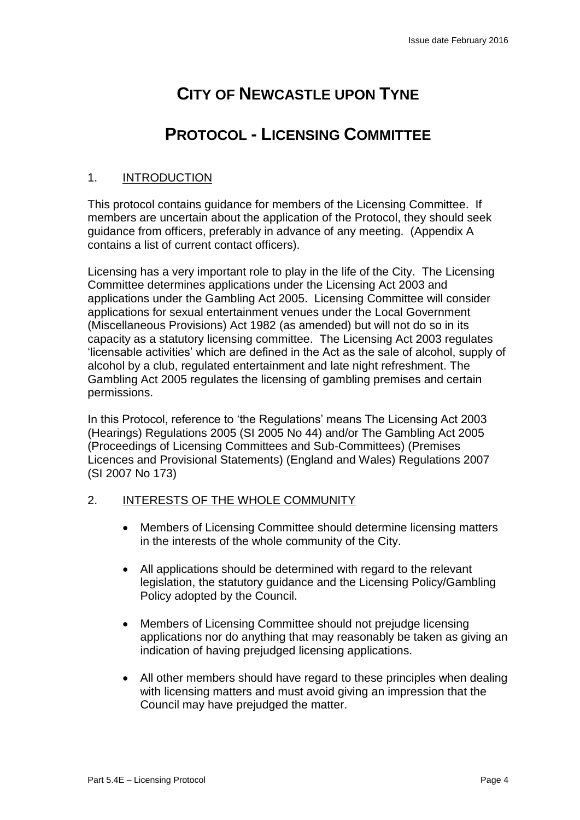# **CITY OF NEWCASTLE UPON TYNE**

# **PROTOCOL - LICENSING COMMITTEE**

# 1. INTRODUCTION

This protocol contains guidance for members of the Licensing Committee. If members are uncertain about the application of the Protocol, they should seek guidance from officers, preferably in advance of any meeting. (Appendix A contains a list of current contact officers).

Licensing has a very important role to play in the life of the City. The Licensing Committee determines applications under the Licensing Act 2003 and applications under the Gambling Act 2005. Licensing Committee will consider applications for sexual entertainment venues under the Local Government (Miscellaneous Provisions) Act 1982 (as amended) but will not do so in its capacity as a statutory licensing committee. The Licensing Act 2003 regulates 'licensable activities' which are defined in the Act as the sale of alcohol, supply of alcohol by a club, regulated entertainment and late night refreshment. The Gambling Act 2005 regulates the licensing of gambling premises and certain permissions.

In this Protocol, reference to 'the Regulations' means The Licensing Act 2003 (Hearings) Regulations 2005 (SI 2005 No 44) and/or The Gambling Act 2005 (Proceedings of Licensing Committees and Sub-Committees) (Premises Licences and Provisional Statements) (England and Wales) Regulations 2007 (SI 2007 No 173)

# 2. INTERESTS OF THE WHOLE COMMUNITY

- Members of Licensing Committee should determine licensing matters in the interests of the whole community of the City.
- All applications should be determined with regard to the relevant legislation, the statutory guidance and the Licensing Policy/Gambling Policy adopted by the Council.
- Members of Licensing Committee should not prejudge licensing applications nor do anything that may reasonably be taken as giving an indication of having prejudged licensing applications.
- All other members should have regard to these principles when dealing with licensing matters and must avoid giving an impression that the Council may have prejudged the matter.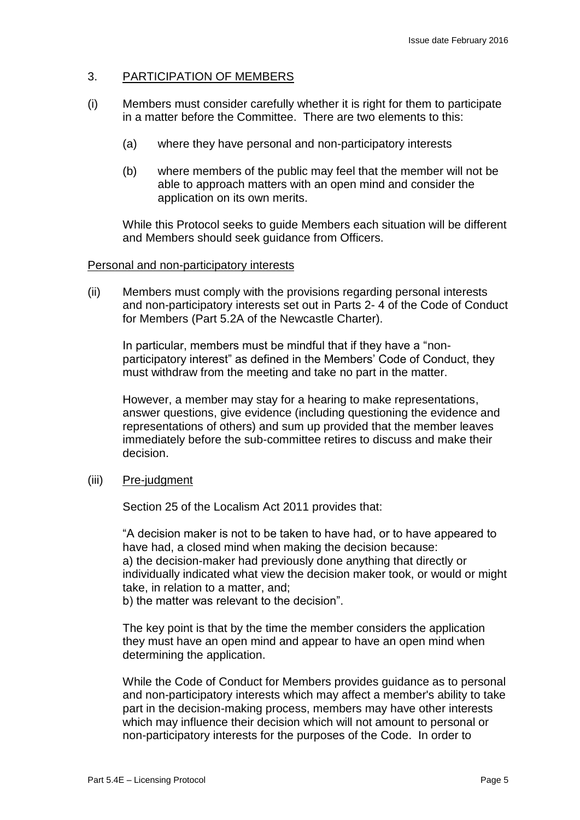# 3. PARTICIPATION OF MEMBERS

- (i) Members must consider carefully whether it is right for them to participate in a matter before the Committee. There are two elements to this:
	- (a) where they have personal and non-participatory interests
	- (b) where members of the public may feel that the member will not be able to approach matters with an open mind and consider the application on its own merits.

While this Protocol seeks to guide Members each situation will be different and Members should seek guidance from Officers.

#### Personal and non-participatory interests

(ii) Members must comply with the provisions regarding personal interests and non-participatory interests set out in Parts 2- 4 of the Code of Conduct for Members (Part 5.2A of the Newcastle Charter).

In particular, members must be mindful that if they have a "nonparticipatory interest" as defined in the Members' Code of Conduct, they must withdraw from the meeting and take no part in the matter.

However, a member may stay for a hearing to make representations, answer questions, give evidence (including questioning the evidence and representations of others) and sum up provided that the member leaves immediately before the sub-committee retires to discuss and make their decision.

(iii) Pre-judgment

Section 25 of the Localism Act 2011 provides that:

"A decision maker is not to be taken to have had, or to have appeared to have had, a closed mind when making the decision because: a) the decision-maker had previously done anything that directly or individually indicated what view the decision maker took, or would or might take, in relation to a matter, and;

b) the matter was relevant to the decision".

The key point is that by the time the member considers the application they must have an open mind and appear to have an open mind when determining the application.

While the Code of Conduct for Members provides guidance as to personal and non-participatory interests which may affect a member's ability to take part in the decision-making process, members may have other interests which may influence their decision which will not amount to personal or non-participatory interests for the purposes of the Code. In order to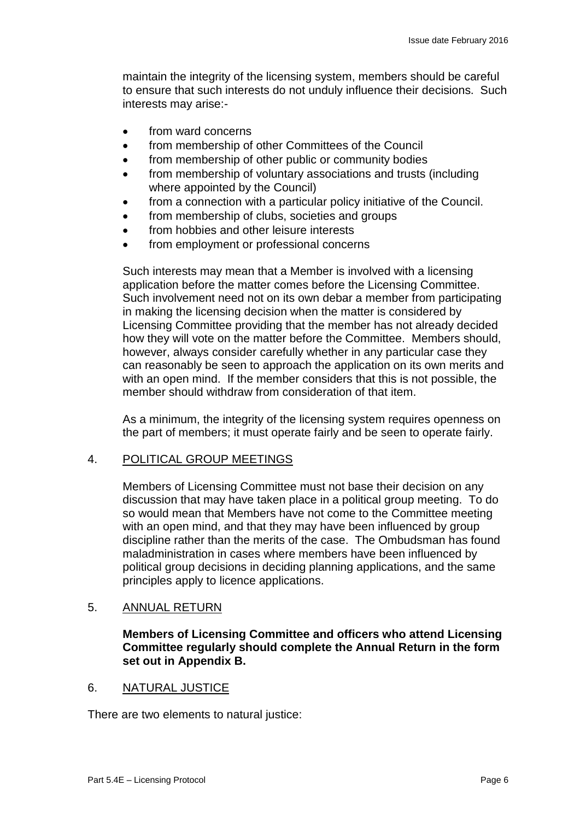maintain the integrity of the licensing system, members should be careful to ensure that such interests do not unduly influence their decisions. Such interests may arise:-

- from ward concerns
- from membership of other Committees of the Council
- from membership of other public or community bodies
- from membership of voluntary associations and trusts (including where appointed by the Council)
- from a connection with a particular policy initiative of the Council.
- from membership of clubs, societies and groups
- from hobbies and other leisure interests
- from employment or professional concerns

Such interests may mean that a Member is involved with a licensing application before the matter comes before the Licensing Committee. Such involvement need not on its own debar a member from participating in making the licensing decision when the matter is considered by Licensing Committee providing that the member has not already decided how they will vote on the matter before the Committee. Members should, however, always consider carefully whether in any particular case they can reasonably be seen to approach the application on its own merits and with an open mind. If the member considers that this is not possible, the member should withdraw from consideration of that item.

As a minimum, the integrity of the licensing system requires openness on the part of members; it must operate fairly and be seen to operate fairly.

#### 4. POLITICAL GROUP MEETINGS

Members of Licensing Committee must not base their decision on any discussion that may have taken place in a political group meeting. To do so would mean that Members have not come to the Committee meeting with an open mind, and that they may have been influenced by group discipline rather than the merits of the case. The Ombudsman has found maladministration in cases where members have been influenced by political group decisions in deciding planning applications, and the same principles apply to licence applications.

#### 5. ANNUAL RETURN

**Members of Licensing Committee and officers who attend Licensing Committee regularly should complete the Annual Return in the form set out in Appendix B.**

#### 6. NATURAL JUSTICE

There are two elements to natural justice: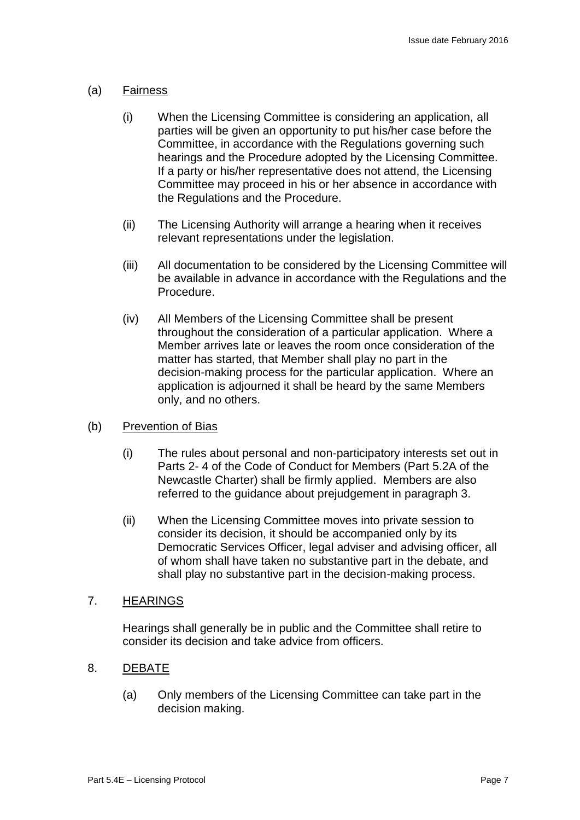#### (a) Fairness

- (i) When the Licensing Committee is considering an application, all parties will be given an opportunity to put his/her case before the Committee, in accordance with the Regulations governing such hearings and the Procedure adopted by the Licensing Committee. If a party or his/her representative does not attend, the Licensing Committee may proceed in his or her absence in accordance with the Regulations and the Procedure.
- (ii) The Licensing Authority will arrange a hearing when it receives relevant representations under the legislation.
- (iii) All documentation to be considered by the Licensing Committee will be available in advance in accordance with the Regulations and the Procedure.
- (iv) All Members of the Licensing Committee shall be present throughout the consideration of a particular application. Where a Member arrives late or leaves the room once consideration of the matter has started, that Member shall play no part in the decision-making process for the particular application. Where an application is adjourned it shall be heard by the same Members only, and no others.

#### (b) Prevention of Bias

- (i) The rules about personal and non-participatory interests set out in Parts 2- 4 of the Code of Conduct for Members (Part 5.2A of the Newcastle Charter) shall be firmly applied. Members are also referred to the guidance about prejudgement in paragraph 3.
- (ii) When the Licensing Committee moves into private session to consider its decision, it should be accompanied only by its Democratic Services Officer, legal adviser and advising officer, all of whom shall have taken no substantive part in the debate, and shall play no substantive part in the decision-making process.

# 7. HEARINGS

Hearings shall generally be in public and the Committee shall retire to consider its decision and take advice from officers.

# 8. DEBATE

(a) Only members of the Licensing Committee can take part in the decision making.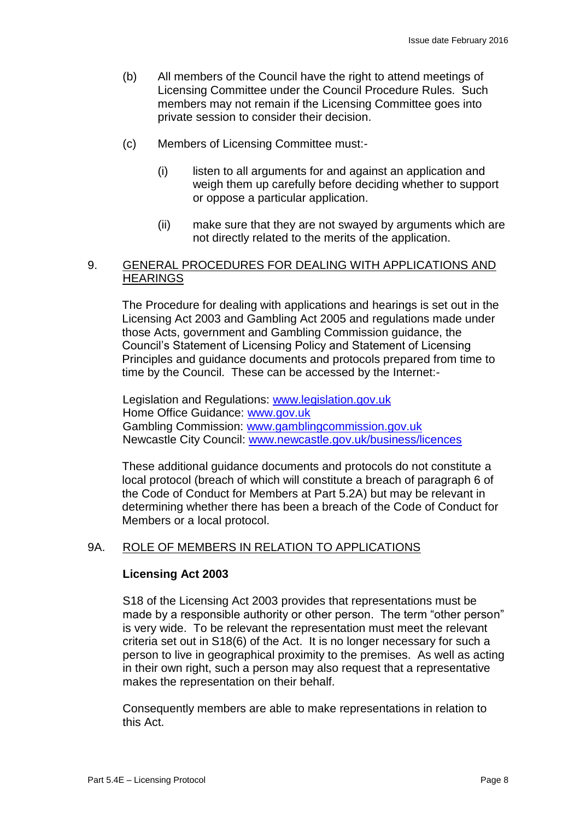- (b) All members of the Council have the right to attend meetings of Licensing Committee under the Council Procedure Rules. Such members may not remain if the Licensing Committee goes into private session to consider their decision.
- (c) Members of Licensing Committee must:-
	- (i) listen to all arguments for and against an application and weigh them up carefully before deciding whether to support or oppose a particular application.
	- (ii) make sure that they are not swayed by arguments which are not directly related to the merits of the application.

#### 9. GENERAL PROCEDURES FOR DEALING WITH APPLICATIONS AND **HEARINGS**

The Procedure for dealing with applications and hearings is set out in the Licensing Act 2003 and Gambling Act 2005 and regulations made under those Acts, government and Gambling Commission guidance, the Council's Statement of Licensing Policy and Statement of Licensing Principles and guidance documents and protocols prepared from time to time by the Council. These can be accessed by the Internet:-

Legislation and Regulations: [www.legislation.gov.uk](http://www.legislation.gov.uk/) Home Office Guidance: [www.gov.uk](http://www.gov.uk/) Gambling Commission: [www.gamblingcommission.gov.uk](http://www.gamblingcommission.gov.uk/) Newcastle City Council: [www.newcastle.gov.uk/business/licences](http://www.newcastle.gov.uk/business/licences)

These additional guidance documents and protocols do not constitute a local protocol (breach of which will constitute a breach of paragraph 6 of the Code of Conduct for Members at Part 5.2A) but may be relevant in determining whether there has been a breach of the Code of Conduct for Members or a local protocol.

# 9A. ROLE OF MEMBERS IN RELATION TO APPLICATIONS

#### **Licensing Act 2003**

S18 of the Licensing Act 2003 provides that representations must be made by a responsible authority or other person. The term "other person" is very wide. To be relevant the representation must meet the relevant criteria set out in S18(6) of the Act. It is no longer necessary for such a person to live in geographical proximity to the premises. As well as acting in their own right, such a person may also request that a representative makes the representation on their behalf.

Consequently members are able to make representations in relation to this Act.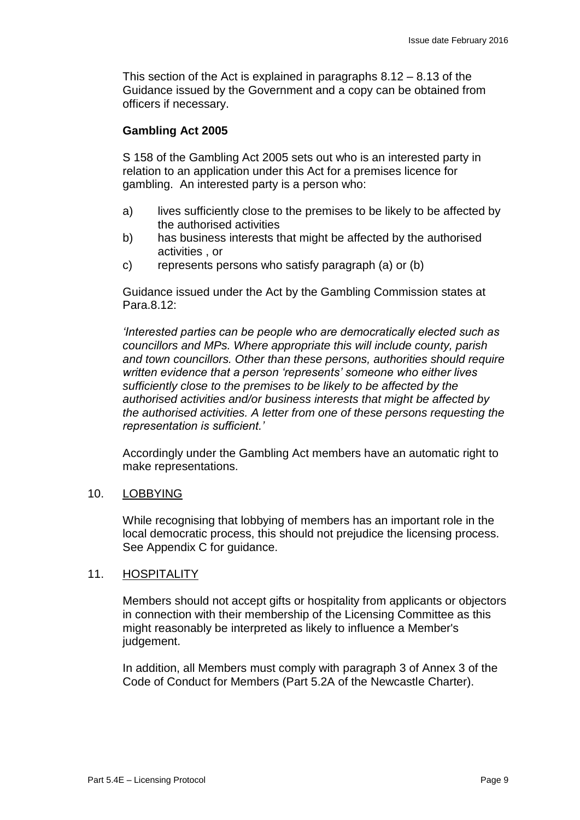This section of the Act is explained in paragraphs 8.12 – 8.13 of the Guidance issued by the Government and a copy can be obtained from officers if necessary.

#### **Gambling Act 2005**

S 158 of the Gambling Act 2005 sets out who is an interested party in relation to an application under this Act for a premises licence for gambling. An interested party is a person who:

- a) lives sufficiently close to the premises to be likely to be affected by the authorised activities
- b) has business interests that might be affected by the authorised activities , or
- c) represents persons who satisfy paragraph (a) or (b)

Guidance issued under the Act by the Gambling Commission states at Para.8.12:

*'Interested parties can be people who are democratically elected such as councillors and MPs. Where appropriate this will include county, parish and town councillors. Other than these persons, authorities should require written evidence that a person 'represents' someone who either lives sufficiently close to the premises to be likely to be affected by the authorised activities and/or business interests that might be affected by the authorised activities. A letter from one of these persons requesting the representation is sufficient.'*

Accordingly under the Gambling Act members have an automatic right to make representations.

#### 10. LOBBYING

While recognising that lobbying of members has an important role in the local democratic process, this should not prejudice the licensing process. See Appendix C for guidance.

#### 11. HOSPITALITY

Members should not accept gifts or hospitality from applicants or objectors in connection with their membership of the Licensing Committee as this might reasonably be interpreted as likely to influence a Member's judgement.

In addition, all Members must comply with paragraph 3 of Annex 3 of the Code of Conduct for Members (Part 5.2A of the Newcastle Charter).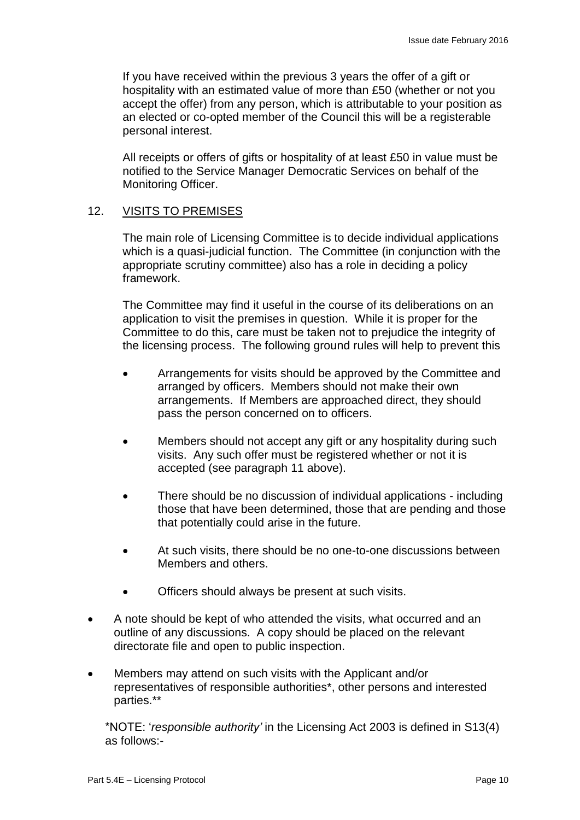If you have received within the previous 3 years the offer of a gift or hospitality with an estimated value of more than £50 (whether or not you accept the offer) from any person, which is attributable to your position as an elected or co-opted member of the Council this will be a registerable personal interest.

All receipts or offers of gifts or hospitality of at least £50 in value must be notified to the Service Manager Democratic Services on behalf of the Monitoring Officer.

#### 12. VISITS TO PREMISES

The main role of Licensing Committee is to decide individual applications which is a quasi-judicial function. The Committee (in conjunction with the appropriate scrutiny committee) also has a role in deciding a policy framework.

The Committee may find it useful in the course of its deliberations on an application to visit the premises in question. While it is proper for the Committee to do this, care must be taken not to prejudice the integrity of the licensing process. The following ground rules will help to prevent this

- Arrangements for visits should be approved by the Committee and arranged by officers. Members should not make their own arrangements. If Members are approached direct, they should pass the person concerned on to officers.
- Members should not accept any gift or any hospitality during such visits. Any such offer must be registered whether or not it is accepted (see paragraph 11 above).
- There should be no discussion of individual applications including those that have been determined, those that are pending and those that potentially could arise in the future.
- At such visits, there should be no one-to-one discussions between Members and others.
- Officers should always be present at such visits.
- A note should be kept of who attended the visits, what occurred and an outline of any discussions. A copy should be placed on the relevant directorate file and open to public inspection.
- Members may attend on such visits with the Applicant and/or representatives of responsible authorities\*, other persons and interested parties.\*\*

\*NOTE: '*responsible authority'* in the Licensing Act 2003 is defined in S13(4) as follows:-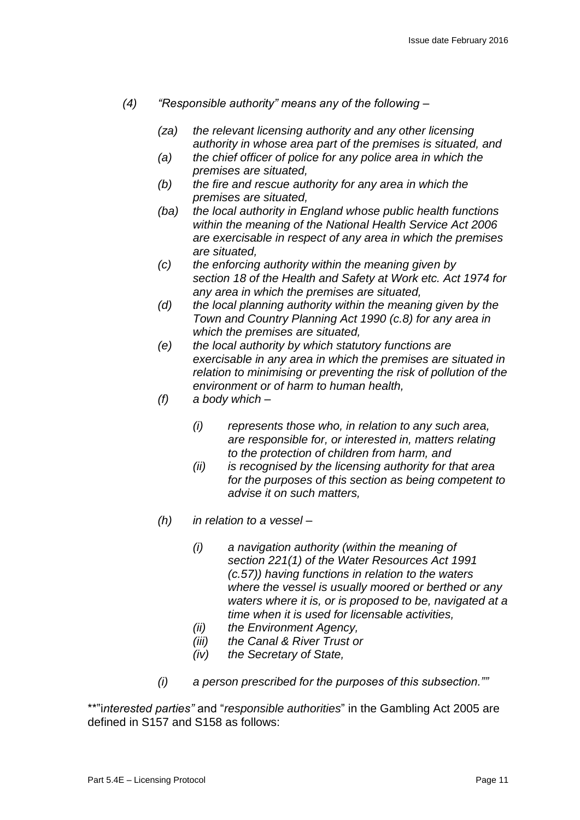- *(4) "Responsible authority" means any of the following –*
	- *(za) the relevant licensing authority and any other licensing authority in whose area part of the premises is situated, and*
	- *(a) the chief officer of police for any police area in which the premises are situated,*
	- *(b) the fire and rescue authority for any area in which the premises are situated,*
	- *(ba) the local authority in England whose public health functions within the meaning of the National Health Service Act 2006 are exercisable in respect of any area in which the premises are situated,*
	- *(c) the enforcing authority within the meaning given by section 18 of the Health and Safety at Work etc. Act 1974 for any area in which the premises are situated,*
	- *(d) the local planning authority within the meaning given by the Town and Country Planning Act 1990 (c.8) for any area in which the premises are situated,*
	- *(e) the local authority by which statutory functions are exercisable in any area in which the premises are situated in relation to minimising or preventing the risk of pollution of the environment or of harm to human health,*
	- *(f) a body which –*
		- *(i) represents those who, in relation to any such area, are responsible for, or interested in, matters relating to the protection of children from harm, and*
		- *(ii) is recognised by the licensing authority for that area for the purposes of this section as being competent to advise it on such matters,*
	- *(h) in relation to a vessel –*
		- *(i) a navigation authority (within the meaning of section 221(1) of the Water Resources Act 1991 (c.57)) having functions in relation to the waters where the vessel is usually moored or berthed or any waters where it is, or is proposed to be, navigated at a time when it is used for licensable activities,*
		- *(ii) the Environment Agency,*
		- *(iii) the Canal & River Trust or*
		- *(iv) the Secretary of State,*
	- *(i) a person prescribed for the purposes of this subsection.""*

\*\*"i*nterested parties"* and "*responsible authorities*" in the Gambling Act 2005 are defined in S157 and S158 as follows: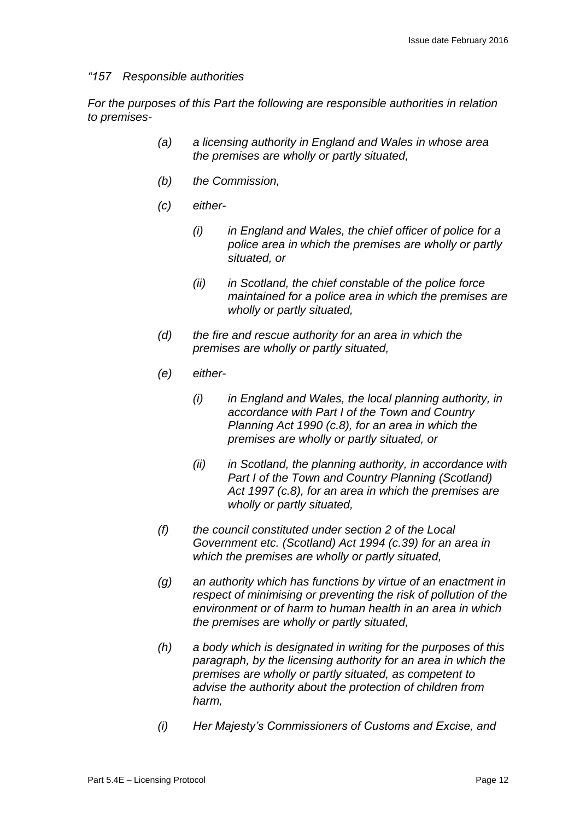#### *"157 Responsible authorities*

*For the purposes of this Part the following are responsible authorities in relation to premises-*

- *(a) a licensing authority in England and Wales in whose area the premises are wholly or partly situated,*
- *(b) the Commission,*
- *(c) either-*
	- *(i) in England and Wales, the chief officer of police for a police area in which the premises are wholly or partly situated, or*
	- *(ii) in Scotland, the chief constable of the police force maintained for a police area in which the premises are wholly or partly situated,*
- *(d) the fire and rescue authority for an area in which the premises are wholly or partly situated,*
- *(e) either-*
	- *(i) in England and Wales, the local planning authority, in accordance with Part I of the Town and Country Planning Act 1990 (c.8), for an area in which the premises are wholly or partly situated, or*
	- *(ii) in Scotland, the planning authority, in accordance with Part I of the Town and Country Planning (Scotland) Act 1997 (c.8), for an area in which the premises are wholly or partly situated,*
- *(f) the council constituted under section 2 of the Local Government etc. (Scotland) Act 1994 (c.39) for an area in which the premises are wholly or partly situated,*
- *(g) an authority which has functions by virtue of an enactment in respect of minimising or preventing the risk of pollution of the environment or of harm to human health in an area in which the premises are wholly or partly situated,*
- *(h) a body which is designated in writing for the purposes of this paragraph, by the licensing authority for an area in which the premises are wholly or partly situated, as competent to advise the authority about the protection of children from harm,*
- *(i) Her Majesty's Commissioners of Customs and Excise, and*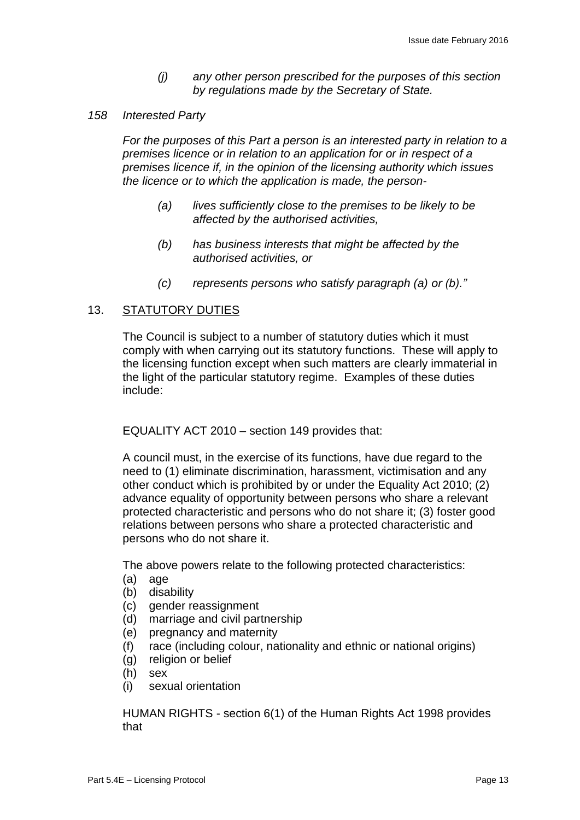- *(j) any other person prescribed for the purposes of this section by regulations made by the Secretary of State.*
- *158 Interested Party*

*For the purposes of this Part a person is an interested party in relation to a premises licence or in relation to an application for or in respect of a premises licence if, in the opinion of the licensing authority which issues the licence or to which the application is made, the person-*

- *(a) lives sufficiently close to the premises to be likely to be affected by the authorised activities,*
- *(b) has business interests that might be affected by the authorised activities, or*
- *(c) represents persons who satisfy paragraph (a) or (b)."*

#### 13. STATUTORY DUTIES

The Council is subject to a number of statutory duties which it must comply with when carrying out its statutory functions. These will apply to the licensing function except when such matters are clearly immaterial in the light of the particular statutory regime. Examples of these duties include:

EQUALITY ACT 2010 – section 149 provides that:

A council must, in the exercise of its functions, have due regard to the need to (1) eliminate discrimination, harassment, victimisation and any other conduct which is prohibited by or under the Equality Act 2010; (2) advance equality of opportunity between persons who share a relevant protected characteristic and persons who do not share it; (3) foster good relations between persons who share a protected characteristic and persons who do not share it.

The above powers relate to the following protected characteristics:

- (a) age
- (b) disability
- (c) gender reassignment
- (d) marriage and civil partnership
- (e) pregnancy and maternity
- (f) race (including colour, nationality and ethnic or national origins)
- (g) religion or belief
- (h) sex
- (i) sexual orientation

HUMAN RIGHTS - section 6(1) of the Human Rights Act 1998 provides that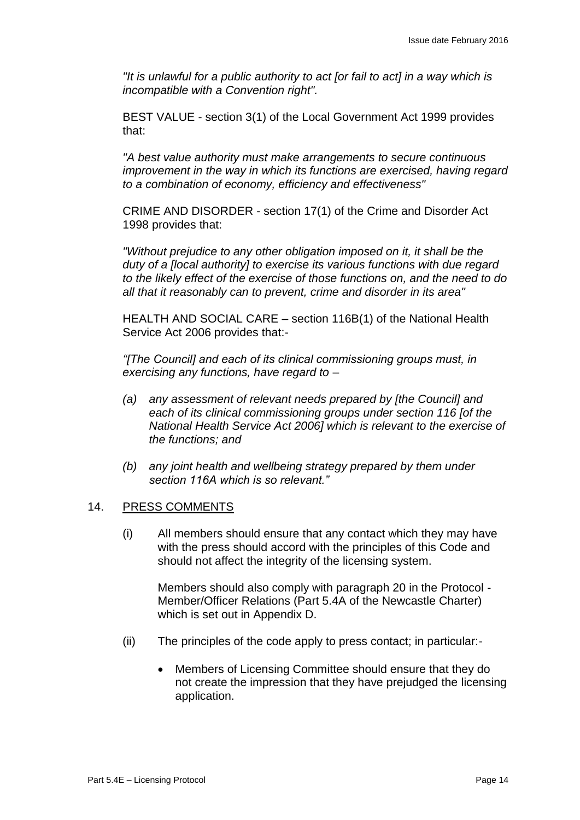*"It is unlawful for a public authority to act [or fail to act] in a way which is incompatible with a Convention right".*

BEST VALUE - section 3(1) of the Local Government Act 1999 provides that:

*"A best value authority must make arrangements to secure continuous improvement in the way in which its functions are exercised, having regard to a combination of economy, efficiency and effectiveness"*

CRIME AND DISORDER - section 17(1) of the Crime and Disorder Act 1998 provides that:

*"Without prejudice to any other obligation imposed on it, it shall be the duty of a [local authority] to exercise its various functions with due regard to the likely effect of the exercise of those functions on, and the need to do all that it reasonably can to prevent, crime and disorder in its area"*

HEALTH AND SOCIAL CARE – section 116B(1) of the National Health Service Act 2006 provides that:-

*"[The Council] and each of its clinical commissioning groups must, in exercising any functions, have regard to –*

- *(a) any assessment of relevant needs prepared by [the Council] and each of its clinical commissioning groups under section 116 [of the National Health Service Act 2006] which is relevant to the exercise of the functions; and*
- *(b) any joint health and wellbeing strategy prepared by them under section 116A which is so relevant."*

# 14. PRESS COMMENTS

(i) All members should ensure that any contact which they may have with the press should accord with the principles of this Code and should not affect the integrity of the licensing system.

Members should also comply with paragraph 20 in the Protocol - Member/Officer Relations (Part 5.4A of the Newcastle Charter) which is set out in Appendix D.

- (ii) The principles of the code apply to press contact; in particular:-
	- Members of Licensing Committee should ensure that they do not create the impression that they have prejudged the licensing application.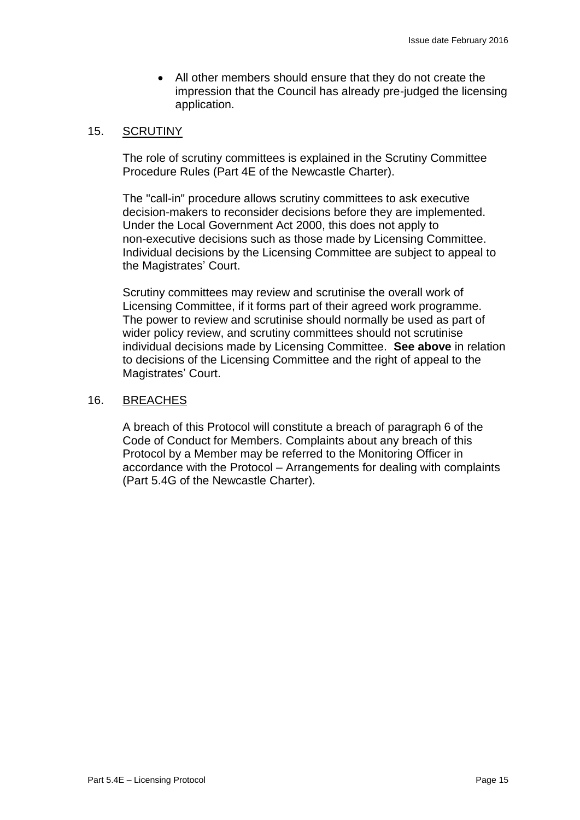All other members should ensure that they do not create the impression that the Council has already pre-judged the licensing application.

#### 15. **SCRUTINY**

The role of scrutiny committees is explained in the Scrutiny Committee Procedure Rules (Part 4E of the Newcastle Charter).

The "call-in" procedure allows scrutiny committees to ask executive decision-makers to reconsider decisions before they are implemented. Under the Local Government Act 2000, this does not apply to non-executive decisions such as those made by Licensing Committee. Individual decisions by the Licensing Committee are subject to appeal to the Magistrates' Court.

Scrutiny committees may review and scrutinise the overall work of Licensing Committee, if it forms part of their agreed work programme. The power to review and scrutinise should normally be used as part of wider policy review, and scrutiny committees should not scrutinise individual decisions made by Licensing Committee. **See above** in relation to decisions of the Licensing Committee and the right of appeal to the Magistrates' Court.

#### 16. BREACHES

A breach of this Protocol will constitute a breach of paragraph 6 of the Code of Conduct for Members. Complaints about any breach of this Protocol by a Member may be referred to the Monitoring Officer in accordance with the Protocol – Arrangements for dealing with complaints (Part 5.4G of the Newcastle Charter).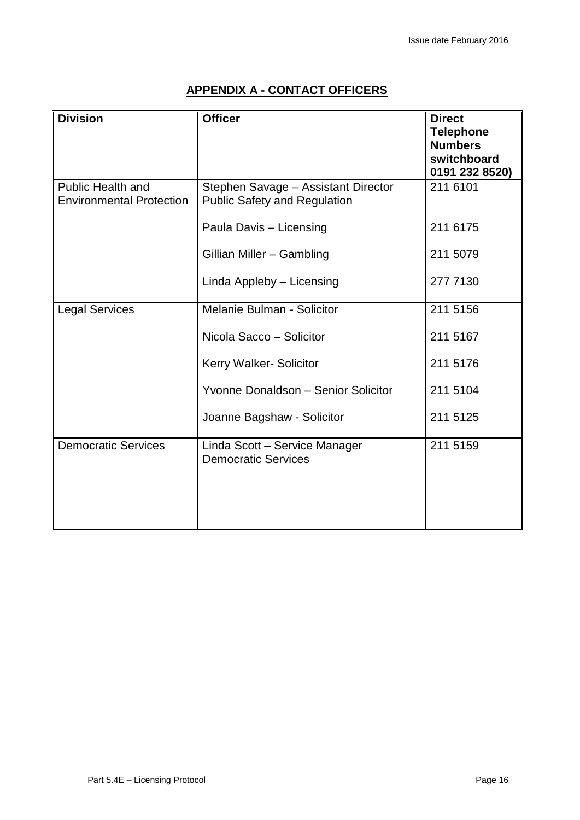# **APPENDIX A - CONTACT OFFICERS**

| <b>Division</b>                                             | <b>Officer</b>                                                             | <b>Direct</b><br><b>Telephone</b><br><b>Numbers</b><br>switchboard<br>0191 232 8520) |
|-------------------------------------------------------------|----------------------------------------------------------------------------|--------------------------------------------------------------------------------------|
| <b>Public Health and</b><br><b>Environmental Protection</b> | Stephen Savage - Assistant Director<br><b>Public Safety and Regulation</b> | 211 6101                                                                             |
|                                                             | Paula Davis - Licensing                                                    | 211 6175                                                                             |
|                                                             | Gillian Miller - Gambling                                                  | 211 5079                                                                             |
|                                                             | Linda Appleby - Licensing                                                  | 277 7130                                                                             |
| <b>Legal Services</b>                                       | Melanie Bulman - Solicitor                                                 | 211 5156                                                                             |
|                                                             | Nicola Sacco - Solicitor                                                   | 211 5167                                                                             |
|                                                             | Kerry Walker- Solicitor                                                    | 211 5176                                                                             |
|                                                             | Yvonne Donaldson - Senior Solicitor                                        | 211 5104                                                                             |
|                                                             | Joanne Bagshaw - Solicitor                                                 | 211 5125                                                                             |
| <b>Democratic Services</b>                                  | Linda Scott - Service Manager<br><b>Democratic Services</b>                | 211 5159                                                                             |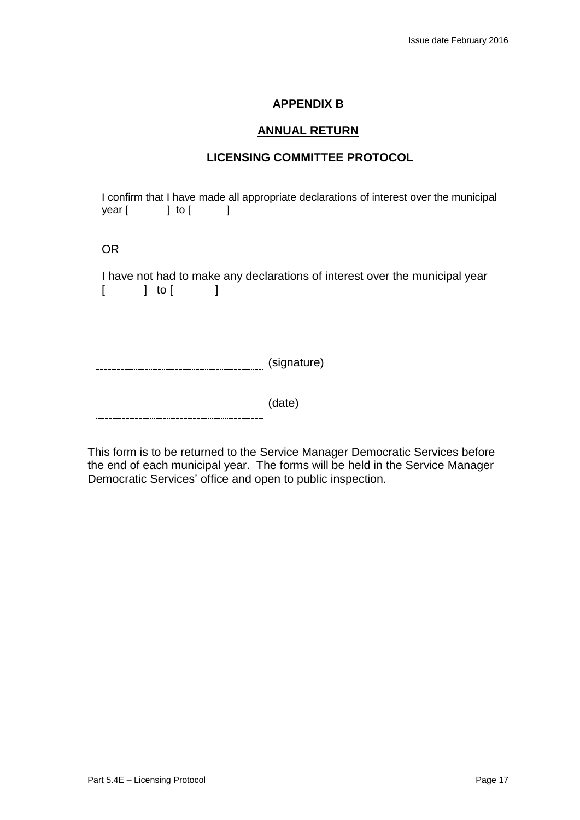#### **APPENDIX B**

#### **ANNUAL RETURN**

#### **LICENSING COMMITTEE PROTOCOL**

I confirm that I have made all appropriate declarations of interest over the municipal year [ ] to [ ]

#### OR

I have not had to make any declarations of interest over the municipal year  $[$   $]$  to  $[$   $]$ 

(signature)

(date)

This form is to be returned to the Service Manager Democratic Services before the end of each municipal year. The forms will be held in the Service Manager Democratic Services' office and open to public inspection.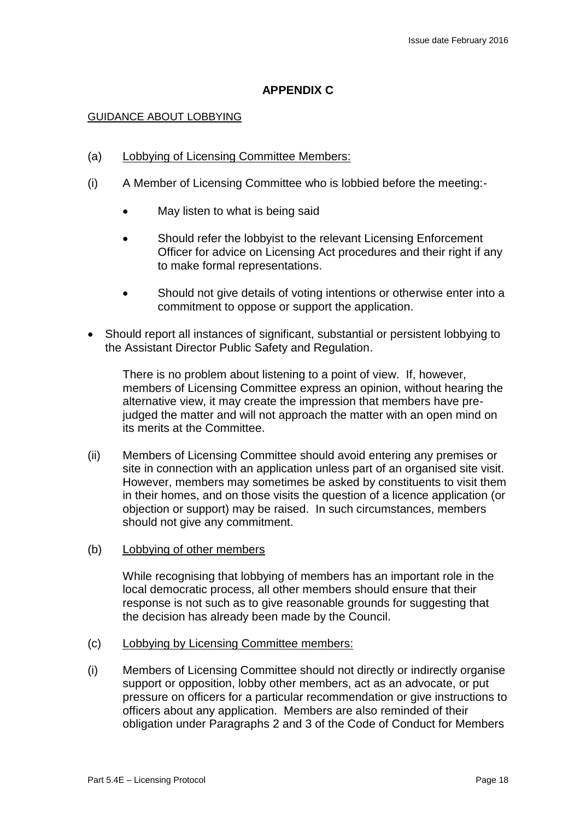# **APPENDIX C**

#### GUIDANCE ABOUT LOBBYING

- (a) Lobbying of Licensing Committee Members:
- (i) A Member of Licensing Committee who is lobbied before the meeting:-
	- May listen to what is being said
	- Should refer the lobbyist to the relevant Licensing Enforcement Officer for advice on Licensing Act procedures and their right if any to make formal representations.
	- Should not give details of voting intentions or otherwise enter into a commitment to oppose or support the application.
- Should report all instances of significant, substantial or persistent lobbying to the Assistant Director Public Safety and Regulation.

There is no problem about listening to a point of view. If, however, members of Licensing Committee express an opinion, without hearing the alternative view, it may create the impression that members have prejudged the matter and will not approach the matter with an open mind on its merits at the Committee.

- (ii) Members of Licensing Committee should avoid entering any premises or site in connection with an application unless part of an organised site visit. However, members may sometimes be asked by constituents to visit them in their homes, and on those visits the question of a licence application (or objection or support) may be raised. In such circumstances, members should not give any commitment.
- (b) Lobbying of other members

While recognising that lobbying of members has an important role in the local democratic process, all other members should ensure that their response is not such as to give reasonable grounds for suggesting that the decision has already been made by the Council.

- (c) Lobbying by Licensing Committee members:
- (i) Members of Licensing Committee should not directly or indirectly organise support or opposition, lobby other members, act as an advocate, or put pressure on officers for a particular recommendation or give instructions to officers about any application. Members are also reminded of their obligation under Paragraphs 2 and 3 of the Code of Conduct for Members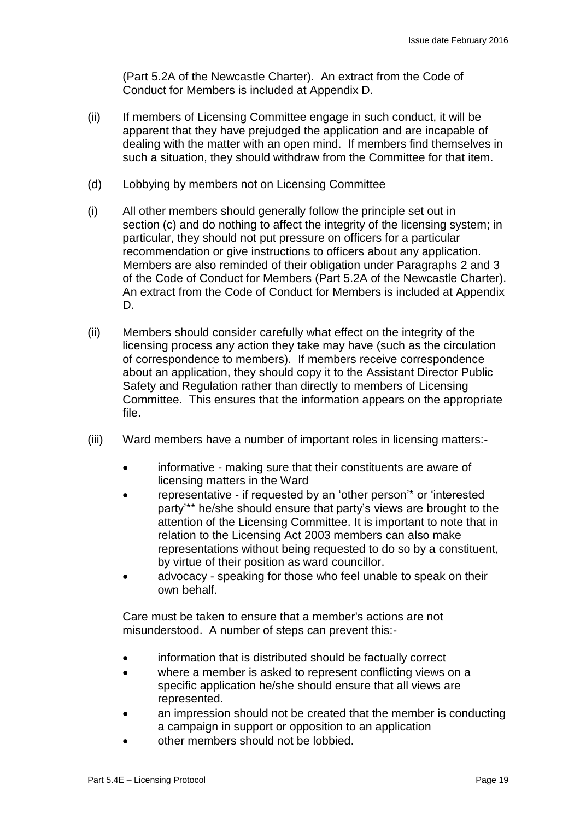(Part 5.2A of the Newcastle Charter). An extract from the Code of Conduct for Members is included at Appendix D.

(ii) If members of Licensing Committee engage in such conduct, it will be apparent that they have prejudged the application and are incapable of dealing with the matter with an open mind. If members find themselves in such a situation, they should withdraw from the Committee for that item.

#### (d) Lobbying by members not on Licensing Committee

- (i) All other members should generally follow the principle set out in section (c) and do nothing to affect the integrity of the licensing system; in particular, they should not put pressure on officers for a particular recommendation or give instructions to officers about any application. Members are also reminded of their obligation under Paragraphs 2 and 3 of the Code of Conduct for Members (Part 5.2A of the Newcastle Charter). An extract from the Code of Conduct for Members is included at Appendix D.
- (ii) Members should consider carefully what effect on the integrity of the licensing process any action they take may have (such as the circulation of correspondence to members). If members receive correspondence about an application, they should copy it to the Assistant Director Public Safety and Regulation rather than directly to members of Licensing Committee. This ensures that the information appears on the appropriate file.
- (iii) Ward members have a number of important roles in licensing matters:
	- informative making sure that their constituents are aware of licensing matters in the Ward
	- representative if requested by an 'other person'\* or 'interested party'\*\* he/she should ensure that party's views are brought to the attention of the Licensing Committee. It is important to note that in relation to the Licensing Act 2003 members can also make representations without being requested to do so by a constituent, by virtue of their position as ward councillor.
	- advocacy speaking for those who feel unable to speak on their own behalf.

Care must be taken to ensure that a member's actions are not misunderstood. A number of steps can prevent this:-

- information that is distributed should be factually correct
- where a member is asked to represent conflicting views on a specific application he/she should ensure that all views are represented.
- an impression should not be created that the member is conducting a campaign in support or opposition to an application
- other members should not be lobbied.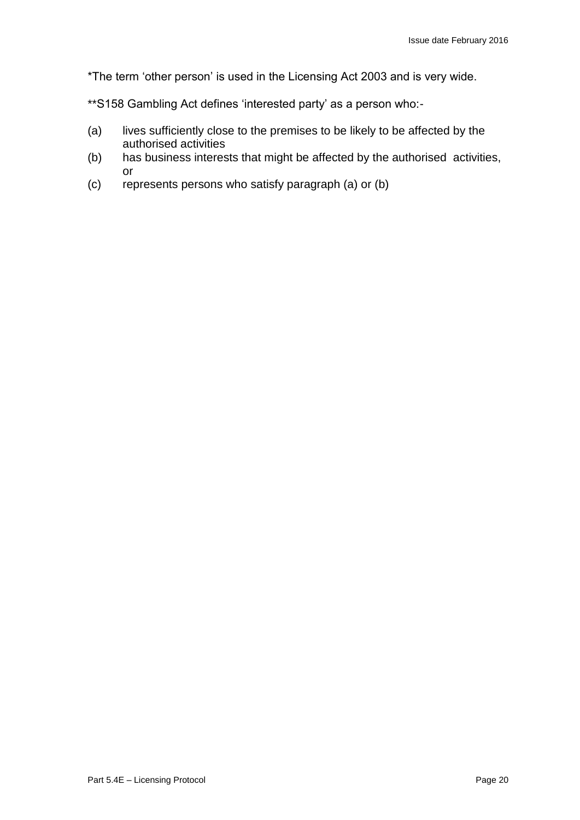\*The term 'other person' is used in the Licensing Act 2003 and is very wide.

\*\*S158 Gambling Act defines 'interested party' as a person who:-

- (a) lives sufficiently close to the premises to be likely to be affected by the authorised activities
- (b) has business interests that might be affected by the authorised activities, or
- (c) represents persons who satisfy paragraph (a) or (b)